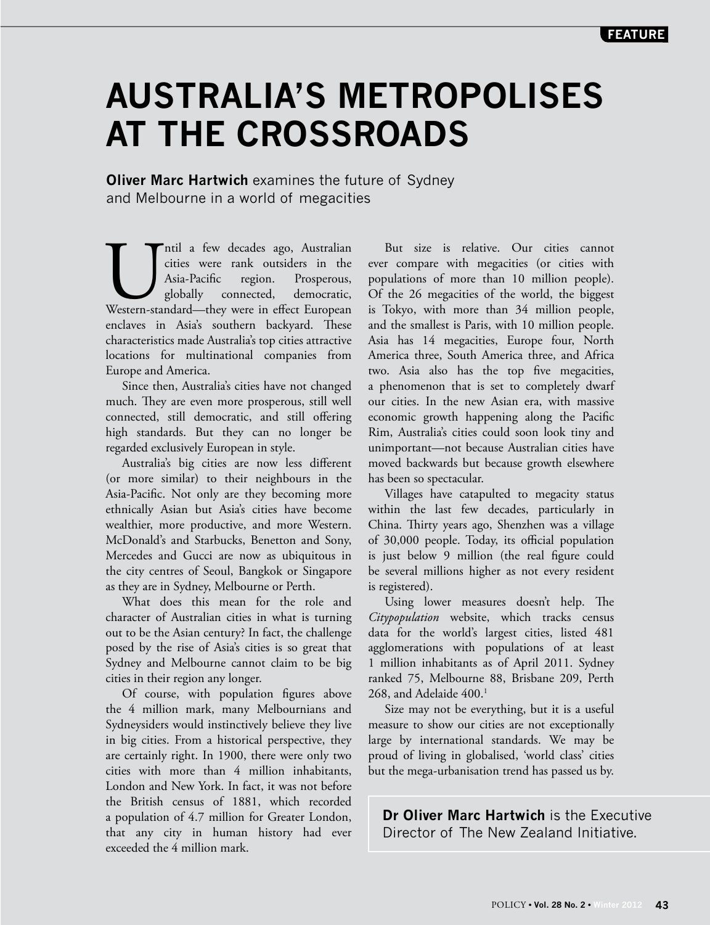## **AUSTRALIA'S METROPOLISES AT THE CROSSROADS**

**Oliver Marc Hartwich** examines the future of Sydney and Melbourne in a world of megacities

Intil a few decades ago, Australian cities were rank outsiders in the Asia-Pacific region. Prosperous, globally connected, democratic, Western-standard—they were in effect European cities were rank outsiders in the Asia-Pacific region. Prosperous, globally connected, democratic, enclaves in Asia's southern backyard. These characteristics made Australia's top cities attractive locations for multinational companies from Europe and America.

Since then, Australia's cities have not changed much. They are even more prosperous, still well connected, still democratic, and still offering high standards. But they can no longer be regarded exclusively European in style.

Australia's big cities are now less different (or more similar) to their neighbours in the Asia-Pacific. Not only are they becoming more ethnically Asian but Asia's cities have become wealthier, more productive, and more Western. McDonald's and Starbucks, Benetton and Sony, Mercedes and Gucci are now as ubiquitous in the city centres of Seoul, Bangkok or Singapore as they are in Sydney, Melbourne or Perth.

What does this mean for the role and character of Australian cities in what is turning out to be the Asian century? In fact, the challenge posed by the rise of Asia's cities is so great that Sydney and Melbourne cannot claim to be big cities in their region any longer.

Of course, with population figures above the 4 million mark, many Melbournians and Sydneysiders would instinctively believe they live in big cities. From a historical perspective, they are certainly right. In 1900, there were only two cities with more than 4 million inhabitants, London and New York. In fact, it was not before the British census of 1881, which recorded a population of 4.7 million for Greater London, that any city in human history had ever exceeded the 4 million mark.

But size is relative. Our cities cannot ever compare with megacities (or cities with populations of more than 10 million people). Of the 26 megacities of the world, the biggest is Tokyo, with more than 34 million people, and the smallest is Paris, with 10 million people. Asia has 14 megacities, Europe four, North America three, South America three, and Africa two. Asia also has the top five megacities, a phenomenon that is set to completely dwarf our cities. In the new Asian era, with massive economic growth happening along the Pacific Rim, Australia's cities could soon look tiny and unimportant—not because Australian cities have moved backwards but because growth elsewhere has been so spectacular.

Villages have catapulted to megacity status within the last few decades, particularly in China. Thirty years ago, Shenzhen was a village of 30,000 people. Today, its official population is just below 9 million (the real figure could be several millions higher as not every resident is registered).

Using lower measures doesn't help. The *Citypopulation* website, which tracks census data for the world's largest cities, listed 481 agglomerations with populations of at least 1 million inhabitants as of April 2011. Sydney ranked 75, Melbourne 88, Brisbane 209, Perth 268, and Adelaide 400.<sup>1</sup>

Size may not be everything, but it is a useful measure to show our cities are not exceptionally large by international standards. We may be proud of living in globalised, 'world class' cities but the mega-urbanisation trend has passed us by.

**Dr Oliver Marc Hartwich** is the Executive Director of The New Zealand Initiative.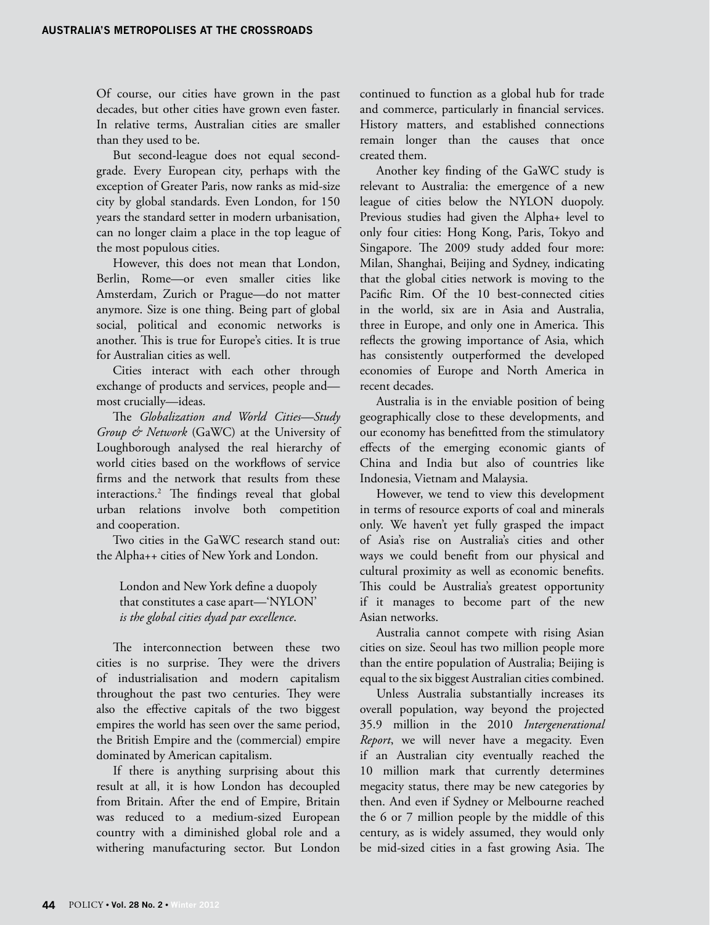Of course, our cities have grown in the past decades, but other cities have grown even faster. In relative terms, Australian cities are smaller than they used to be.

But second-league does not equal secondgrade. Every European city, perhaps with the exception of Greater Paris, now ranks as mid-size city by global standards. Even London, for 150 years the standard setter in modern urbanisation, can no longer claim a place in the top league of the most populous cities.

However, this does not mean that London, Berlin, Rome—or even smaller cities like Amsterdam, Zurich or Prague—do not matter anymore. Size is one thing. Being part of global social, political and economic networks is another. This is true for Europe's cities. It is true for Australian cities as well.

Cities interact with each other through exchange of products and services, people and most crucially—ideas.

The *Globalization and World Cities—Study Group & Network* (GaWC) at the University of Loughborough analysed the real hierarchy of world cities based on the workflows of service firms and the network that results from these interactions.2 The findings reveal that global urban relations involve both competition and cooperation.

Two cities in the GaWC research stand out: the Alpha++ cities of New York and London.

## London and New York define a duopoly that constitutes a case apart—'NYLON' *is the global cities dyad par excellence*.

The interconnection between these two cities is no surprise. They were the drivers of industrialisation and modern capitalism throughout the past two centuries. They were also the effective capitals of the two biggest empires the world has seen over the same period, the British Empire and the (commercial) empire dominated by American capitalism.

If there is anything surprising about this result at all, it is how London has decoupled from Britain. After the end of Empire, Britain was reduced to a medium-sized European country with a diminished global role and a withering manufacturing sector. But London

continued to function as a global hub for trade and commerce, particularly in financial services. History matters, and established connections remain longer than the causes that once created them.

Another key finding of the GaWC study is relevant to Australia: the emergence of a new league of cities below the NYLON duopoly. Previous studies had given the Alpha+ level to only four cities: Hong Kong, Paris, Tokyo and Singapore. The 2009 study added four more: Milan, Shanghai, Beijing and Sydney, indicating that the global cities network is moving to the Pacific Rim. Of the 10 best-connected cities in the world, six are in Asia and Australia, three in Europe, and only one in America. This reflects the growing importance of Asia, which has consistently outperformed the developed economies of Europe and North America in recent decades.

Australia is in the enviable position of being geographically close to these developments, and our economy has benefitted from the stimulatory effects of the emerging economic giants of China and India but also of countries like Indonesia, Vietnam and Malaysia.

However, we tend to view this development in terms of resource exports of coal and minerals only. We haven't yet fully grasped the impact of Asia's rise on Australia's cities and other ways we could benefit from our physical and cultural proximity as well as economic benefits. This could be Australia's greatest opportunity if it manages to become part of the new Asian networks.

Australia cannot compete with rising Asian cities on size. Seoul has two million people more than the entire population of Australia; Beijing is equal to the six biggest Australian cities combined.

Unless Australia substantially increases its overall population, way beyond the projected 35.9 million in the 2010 *Intergenerational Report*, we will never have a megacity. Even if an Australian city eventually reached the 10 million mark that currently determines megacity status, there may be new categories by then. And even if Sydney or Melbourne reached the 6 or 7 million people by the middle of this century, as is widely assumed, they would only be mid-sized cities in a fast growing Asia. The